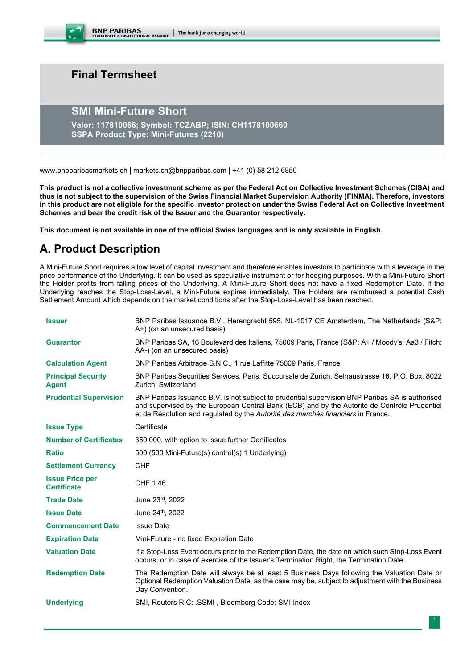BNP PARIBAS CORPORATE & INSTITUTIONAL BANKING | The bank for a changing world

# **Final Termsheet**

# **SMI Mini-Future Short**

**Valor: 117810066; Symbol: TCZABP; ISIN: CH1178100660 SSPA Product Type: Mini-Futures (2210)**

www.bnpparibasmarkets.ch | markets.ch@bnpparibas.com | +41 (0) 58 212 6850

**This product is not a collective investment scheme as per the Federal Act on Collective Investment Schemes (CISA) and thus is not subject to the supervision of the Swiss Financial Market Supervision Authority (FINMA). Therefore, investors in this product are not eligible for the specific investor protection under the Swiss Federal Act on Collective Investment Schemes and bear the credit risk of the Issuer and the Guarantor respectively.**

**This document is not available in one of the official Swiss languages and is only available in English.**

# **A. Product Description**

A Mini-Future Short requires a low level of capital investment and therefore enables investors to participate with a leverage in the price performance of the Underlying. It can be used as speculative instrument or for hedging purposes. With a Mini-Future Short the Holder profits from falling prices of the Underlying. A Mini-Future Short does not have a fixed Redemption Date. If the Underlying reaches the Stop-Loss-Level, a Mini-Future expires immediately. The Holders are reimbursed a potential Cash Settlement Amount which depends on the market conditions after the Stop-Loss-Level has been reached.

| <b>Issuer</b>                                | BNP Paribas Issuance B.V., Herengracht 595, NL-1017 CE Amsterdam, The Netherlands (S&P:<br>A+) (on an unsecured basis)                                                                                                                                                              |
|----------------------------------------------|-------------------------------------------------------------------------------------------------------------------------------------------------------------------------------------------------------------------------------------------------------------------------------------|
| <b>Guarantor</b>                             | BNP Paribas SA, 16 Boulevard des Italiens, 75009 Paris, France (S&P: A+ / Moody's: Aa3 / Fitch:<br>AA-) (on an unsecured basis)                                                                                                                                                     |
| <b>Calculation Agent</b>                     | BNP Paribas Arbitrage S.N.C., 1 rue Laffitte 75009 Paris, France                                                                                                                                                                                                                    |
| <b>Principal Security</b><br><b>Agent</b>    | BNP Paribas Securities Services, Paris, Succursale de Zurich, Selnaustrasse 16, P.O. Box, 8022<br>Zurich, Switzerland                                                                                                                                                               |
| <b>Prudential Supervision</b>                | BNP Paribas Issuance B.V. is not subject to prudential supervision BNP Paribas SA is authorised<br>and supervised by the European Central Bank (ECB) and by the Autorité de Contrôle Prudentiel<br>et de Résolution and regulated by the Autorité des marchés financiers in France. |
| <b>Issue Type</b>                            | Certificate                                                                                                                                                                                                                                                                         |
| <b>Number of Certificates</b>                | 350,000, with option to issue further Certificates                                                                                                                                                                                                                                  |
| <b>Ratio</b>                                 | 500 (500 Mini-Future(s) control(s) 1 Underlying)                                                                                                                                                                                                                                    |
| <b>Settlement Currency</b>                   | <b>CHF</b>                                                                                                                                                                                                                                                                          |
| <b>Issue Price per</b><br><b>Certificate</b> | CHF 1.46                                                                                                                                                                                                                                                                            |
| <b>Trade Date</b>                            | June 23rd, 2022                                                                                                                                                                                                                                                                     |
| <b>Issue Date</b>                            | June 24 <sup>th</sup> , 2022                                                                                                                                                                                                                                                        |
| <b>Commencement Date</b>                     | <b>Issue Date</b>                                                                                                                                                                                                                                                                   |
| <b>Expiration Date</b>                       | Mini-Future - no fixed Expiration Date                                                                                                                                                                                                                                              |
| <b>Valuation Date</b>                        | If a Stop-Loss Event occurs prior to the Redemption Date, the date on which such Stop-Loss Event<br>occurs; or in case of exercise of the Issuer's Termination Right, the Termination Date.                                                                                         |
| <b>Redemption Date</b>                       | The Redemption Date will always be at least 5 Business Days following the Valuation Date or<br>Optional Redemption Valuation Date, as the case may be, subject to adjustment with the Business<br>Day Convention.                                                                   |
| <b>Underlying</b>                            | SMI, Reuters RIC: .SSMI, Bloomberg Code: SMI Index                                                                                                                                                                                                                                  |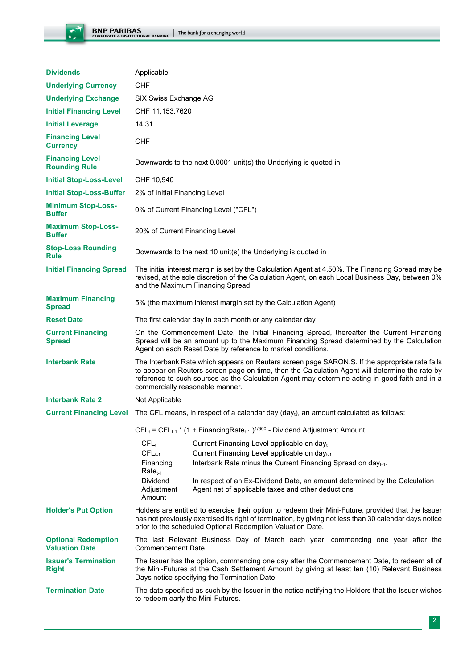

| <b>Dividends</b>                                    | Applicable                                                                                                                                                                                                                                                                                                                             |
|-----------------------------------------------------|----------------------------------------------------------------------------------------------------------------------------------------------------------------------------------------------------------------------------------------------------------------------------------------------------------------------------------------|
| <b>Underlying Currency</b>                          | <b>CHF</b>                                                                                                                                                                                                                                                                                                                             |
| <b>Underlying Exchange</b>                          | SIX Swiss Exchange AG                                                                                                                                                                                                                                                                                                                  |
| <b>Initial Financing Level</b>                      | CHF 11,153.7620                                                                                                                                                                                                                                                                                                                        |
| <b>Initial Leverage</b>                             | 14.31                                                                                                                                                                                                                                                                                                                                  |
| <b>Financing Level</b><br><b>Currency</b>           | <b>CHF</b>                                                                                                                                                                                                                                                                                                                             |
| <b>Financing Level</b><br><b>Rounding Rule</b>      | Downwards to the next 0.0001 unit(s) the Underlying is quoted in                                                                                                                                                                                                                                                                       |
| <b>Initial Stop-Loss-Level</b>                      | CHF 10,940                                                                                                                                                                                                                                                                                                                             |
| <b>Initial Stop-Loss-Buffer</b>                     | 2% of Initial Financing Level                                                                                                                                                                                                                                                                                                          |
| <b>Minimum Stop-Loss-</b><br><b>Buffer</b>          | 0% of Current Financing Level ("CFL")                                                                                                                                                                                                                                                                                                  |
| <b>Maximum Stop-Loss-</b><br><b>Buffer</b>          | 20% of Current Financing Level                                                                                                                                                                                                                                                                                                         |
| <b>Stop-Loss Rounding</b><br><b>Rule</b>            | Downwards to the next 10 unit(s) the Underlying is quoted in                                                                                                                                                                                                                                                                           |
| <b>Initial Financing Spread</b>                     | The initial interest margin is set by the Calculation Agent at 4.50%. The Financing Spread may be<br>revised, at the sole discretion of the Calculation Agent, on each Local Business Day, between 0%<br>and the Maximum Financing Spread.                                                                                             |
| <b>Maximum Financing</b><br><b>Spread</b>           | 5% (the maximum interest margin set by the Calculation Agent)                                                                                                                                                                                                                                                                          |
| <b>Reset Date</b>                                   | The first calendar day in each month or any calendar day                                                                                                                                                                                                                                                                               |
| <b>Current Financing</b><br><b>Spread</b>           | On the Commencement Date, the Initial Financing Spread, thereafter the Current Financing<br>Spread will be an amount up to the Maximum Financing Spread determined by the Calculation<br>Agent on each Reset Date by reference to market conditions.                                                                                   |
| <b>Interbank Rate</b>                               | The Interbank Rate which appears on Reuters screen page SARON.S. If the appropriate rate fails<br>to appear on Reuters screen page on time, then the Calculation Agent will determine the rate by<br>reference to such sources as the Calculation Agent may determine acting in good faith and in a<br>commercially reasonable manner. |
| <b>Interbank Rate 2</b>                             | Not Applicable                                                                                                                                                                                                                                                                                                                         |
| <b>Current Financing Level</b>                      | The CFL means, in respect of a calendar day $(dayi)$ , an amount calculated as follows:                                                                                                                                                                                                                                                |
|                                                     | $CFL_t = CFL_{t-1} * (1 + FinancingRate_{t-1})^{1/360}$ - Dividend Adjustment Amount                                                                                                                                                                                                                                                   |
|                                                     | $CFL_t$<br>Current Financing Level applicable on dayt                                                                                                                                                                                                                                                                                  |
|                                                     | $CFLt-1$<br>Current Financing Level applicable on day <sub>t-1</sub><br>Financing<br>Interbank Rate minus the Current Financing Spread on day <sub>t-1</sub> .                                                                                                                                                                         |
|                                                     | $Rate_{t-1}$<br><b>Dividend</b><br>In respect of an Ex-Dividend Date, an amount determined by the Calculation<br>Adjustment<br>Agent net of applicable taxes and other deductions<br>Amount                                                                                                                                            |
| <b>Holder's Put Option</b>                          | Holders are entitled to exercise their option to redeem their Mini-Future, provided that the Issuer<br>has not previously exercised its right of termination, by giving not less than 30 calendar days notice<br>prior to the scheduled Optional Redemption Valuation Date.                                                            |
| <b>Optional Redemption</b><br><b>Valuation Date</b> | The last Relevant Business Day of March each year, commencing one year after the<br>Commencement Date.                                                                                                                                                                                                                                 |
| <b>Issuer's Termination</b><br><b>Right</b>         | The Issuer has the option, commencing one day after the Commencement Date, to redeem all of<br>the Mini-Futures at the Cash Settlement Amount by giving at least ten (10) Relevant Business<br>Days notice specifying the Termination Date.                                                                                            |
| <b>Termination Date</b>                             | The date specified as such by the Issuer in the notice notifying the Holders that the Issuer wishes<br>to redeem early the Mini-Futures.                                                                                                                                                                                               |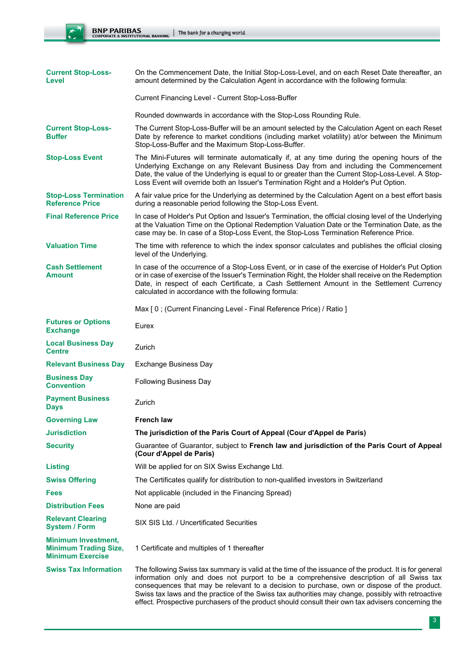| <b>Current Stop-Loss-</b><br>Level                                                    | On the Commencement Date, the Initial Stop-Loss-Level, and on each Reset Date thereafter, an<br>amount determined by the Calculation Agent in accordance with the following formula:                                                                                                                                                                                                  |
|---------------------------------------------------------------------------------------|---------------------------------------------------------------------------------------------------------------------------------------------------------------------------------------------------------------------------------------------------------------------------------------------------------------------------------------------------------------------------------------|
|                                                                                       | Current Financing Level - Current Stop-Loss-Buffer                                                                                                                                                                                                                                                                                                                                    |
|                                                                                       | Rounded downwards in accordance with the Stop-Loss Rounding Rule.                                                                                                                                                                                                                                                                                                                     |
| <b>Current Stop-Loss-</b><br><b>Buffer</b>                                            | The Current Stop-Loss-Buffer will be an amount selected by the Calculation Agent on each Reset<br>Date by reference to market conditions (including market volatility) at/or between the Minimum<br>Stop-Loss-Buffer and the Maximum Stop-Loss-Buffer.                                                                                                                                |
| <b>Stop-Loss Event</b>                                                                | The Mini-Futures will terminate automatically if, at any time during the opening hours of the<br>Underlying Exchange on any Relevant Business Day from and including the Commencement<br>Date, the value of the Underlying is equal to or greater than the Current Stop-Loss-Level. A Stop-<br>Loss Event will override both an Issuer's Termination Right and a Holder's Put Option. |
| <b>Stop-Loss Termination</b><br><b>Reference Price</b>                                | A fair value price for the Underlying as determined by the Calculation Agent on a best effort basis<br>during a reasonable period following the Stop-Loss Event.                                                                                                                                                                                                                      |
| <b>Final Reference Price</b>                                                          | In case of Holder's Put Option and Issuer's Termination, the official closing level of the Underlying<br>at the Valuation Time on the Optional Redemption Valuation Date or the Termination Date, as the<br>case may be. In case of a Stop-Loss Event, the Stop-Loss Termination Reference Price.                                                                                     |
| <b>Valuation Time</b>                                                                 | The time with reference to which the index sponsor calculates and publishes the official closing<br>level of the Underlying.                                                                                                                                                                                                                                                          |
| <b>Cash Settlement</b><br><b>Amount</b>                                               | In case of the occurrence of a Stop-Loss Event, or in case of the exercise of Holder's Put Option<br>or in case of exercise of the Issuer's Termination Right, the Holder shall receive on the Redemption<br>Date, in respect of each Certificate, a Cash Settlement Amount in the Settlement Currency<br>calculated in accordance with the following formula:                        |
|                                                                                       | Max [0; (Current Financing Level - Final Reference Price) / Ratio ]                                                                                                                                                                                                                                                                                                                   |
| <b>Futures or Options</b><br><b>Exchange</b>                                          | Eurex                                                                                                                                                                                                                                                                                                                                                                                 |
| <b>Local Business Day</b><br><b>Centre</b>                                            | Zurich                                                                                                                                                                                                                                                                                                                                                                                |
| <b>Relevant Business Day</b>                                                          | Exchange Business Day                                                                                                                                                                                                                                                                                                                                                                 |
| <b>Business Day</b><br><b>Convention</b>                                              | <b>Following Business Day</b>                                                                                                                                                                                                                                                                                                                                                         |
| <b>Payment Business</b><br><b>Days</b>                                                | Zurich                                                                                                                                                                                                                                                                                                                                                                                |
| <b>Governing Law</b>                                                                  | <b>French law</b>                                                                                                                                                                                                                                                                                                                                                                     |
| <b>Jurisdiction</b>                                                                   | The jurisdiction of the Paris Court of Appeal (Cour d'Appel de Paris)                                                                                                                                                                                                                                                                                                                 |
| <b>Security</b>                                                                       | Guarantee of Guarantor, subject to French law and jurisdiction of the Paris Court of Appeal<br>(Cour d'Appel de Paris)                                                                                                                                                                                                                                                                |
| <b>Listing</b>                                                                        | Will be applied for on SIX Swiss Exchange Ltd.                                                                                                                                                                                                                                                                                                                                        |
| <b>Swiss Offering</b>                                                                 | The Certificates qualify for distribution to non-qualified investors in Switzerland                                                                                                                                                                                                                                                                                                   |
| <b>Fees</b>                                                                           | Not applicable (included in the Financing Spread)                                                                                                                                                                                                                                                                                                                                     |
| <b>Distribution Fees</b>                                                              | None are paid                                                                                                                                                                                                                                                                                                                                                                         |
| <b>Relevant Clearing</b><br><b>System / Form</b>                                      |                                                                                                                                                                                                                                                                                                                                                                                       |
|                                                                                       | SIX SIS Ltd. / Uncertificated Securities                                                                                                                                                                                                                                                                                                                                              |
| <b>Minimum Investment,</b><br><b>Minimum Trading Size,</b><br><b>Minimum Exercise</b> | 1 Certificate and multiples of 1 thereafter                                                                                                                                                                                                                                                                                                                                           |

effect. Prospective purchasers of the product should consult their own tax advisers concerning the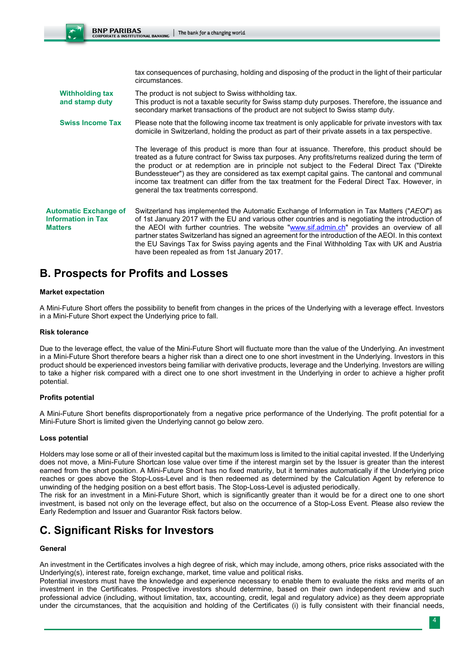tax consequences of purchasing, holding and disposing of the product in the light of their particular circumstances.

**Withholding tax and stamp duty** The product is not subject to Swiss withholding tax. This product is not a taxable security for Swiss stamp duty purposes. Therefore, the issuance and secondary market transactions of the product are not subject to Swiss stamp duty.

**Swiss Income Tax** Please note that the following income tax treatment is only applicable for private investors with tax domicile in Switzerland, holding the product as part of their private assets in a tax perspective.

> The leverage of this product is more than four at issuance. Therefore, this product should be treated as a future contract for Swiss tax purposes. Any profits/returns realized during the term of the product or at redemption are in principle not subject to the Federal Direct Tax ("Direkte Bundessteuer") as they are considered as tax exempt capital gains. The cantonal and communal income tax treatment can differ from the tax treatment for the Federal Direct Tax. However, in general the tax treatments correspond.

**Automatic Exchange of Information in Tax Matters** Switzerland has implemented the Automatic Exchange of Information in Tax Matters ("*AEOI*") as of 1st January 2017 with the EU and various other countries and is negotiating the introduction of the AEOI with further countries. The website "www.sif.admin.ch" provides an overview of all partner states Switzerland has signed an agreement for the introduction of the AEOI. In this context the EU Savings Tax for Swiss paying agents and the Final Withholding Tax with UK and Austria have been repealed as from 1st January 2017.

# **B. Prospects for Profits and Losses**

# **Market expectation**

A Mini-Future Short offers the possibility to benefit from changes in the prices of the Underlying with a leverage effect. Investors in a Mini-Future Short expect the Underlying price to fall.

#### **Risk tolerance**

Due to the leverage effect, the value of the Mini-Future Short will fluctuate more than the value of the Underlying. An investment in a Mini-Future Short therefore bears a higher risk than a direct one to one short investment in the Underlying. Investors in this product should be experienced investors being familiar with derivative products, leverage and the Underlying. Investors are willing to take a higher risk compared with a direct one to one short investment in the Underlying in order to achieve a higher profit potential.

# **Profits potential**

A Mini-Future Short benefits disproportionately from a negative price performance of the Underlying. The profit potential for a Mini-Future Short is limited given the Underlying cannot go below zero.

# **Loss potential**

Holders may lose some or all of their invested capital but the maximum loss is limited to the initial capital invested. If the Underlying does not move, a Mini-Future Shortcan lose value over time if the interest margin set by the Issuer is greater than the interest earned from the short position. A Mini-Future Short has no fixed maturity, but it terminates automatically if the Underlying price reaches or goes above the Stop-Loss-Level and is then redeemed as determined by the Calculation Agent by reference to unwinding of the hedging position on a best effort basis. The Stop-Loss-Level is adjusted periodically.

The risk for an investment in a Mini-Future Short, which is significantly greater than it would be for a direct one to one short investment, is based not only on the leverage effect, but also on the occurrence of a Stop-Loss Event. Please also review the Early Redemption and Issuer and Guarantor Risk factors below.

# **C. Significant Risks for Investors**

# **General**

An investment in the Certificates involves a high degree of risk, which may include, among others, price risks associated with the Underlying(s), interest rate, foreign exchange, market, time value and political risks.

Potential investors must have the knowledge and experience necessary to enable them to evaluate the risks and merits of an investment in the Certificates. Prospective investors should determine, based on their own independent review and such professional advice (including, without limitation, tax, accounting, credit, legal and regulatory advice) as they deem appropriate under the circumstances, that the acquisition and holding of the Certificates (i) is fully consistent with their financial needs,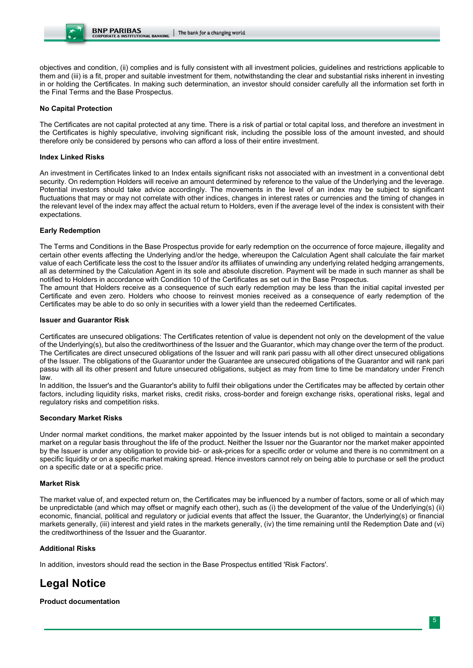objectives and condition, (ii) complies and is fully consistent with all investment policies, guidelines and restrictions applicable to them and (iii) is a fit, proper and suitable investment for them, notwithstanding the clear and substantial risks inherent in investing in or holding the Certificates. In making such determination, an investor should consider carefully all the information set forth in the Final Terms and the Base Prospectus.

# **No Capital Protection**

The Certificates are not capital protected at any time. There is a risk of partial or total capital loss, and therefore an investment in the Certificates is highly speculative, involving significant risk, including the possible loss of the amount invested, and should therefore only be considered by persons who can afford a loss of their entire investment.

# **Index Linked Risks**

An investment in Certificates linked to an Index entails significant risks not associated with an investment in a conventional debt security. On redemption Holders will receive an amount determined by reference to the value of the Underlying and the leverage. Potential investors should take advice accordingly. The movements in the level of an index may be subject to significant fluctuations that may or may not correlate with other indices, changes in interest rates or currencies and the timing of changes in the relevant level of the index may affect the actual return to Holders, even if the average level of the index is consistent with their expectations.

# **Early Redemption**

The Terms and Conditions in the Base Prospectus provide for early redemption on the occurrence of force majeure, illegality and certain other events affecting the Underlying and/or the hedge, whereupon the Calculation Agent shall calculate the fair market value of each Certificate less the cost to the Issuer and/or its affiliates of unwinding any underlying related hedging arrangements, all as determined by the Calculation Agent in its sole and absolute discretion. Payment will be made in such manner as shall be notified to Holders in accordance with Condition 10 of the Certificates as set out in the Base Prospectus.

The amount that Holders receive as a consequence of such early redemption may be less than the initial capital invested per Certificate and even zero. Holders who choose to reinvest monies received as a consequence of early redemption of the Certificates may be able to do so only in securities with a lower yield than the redeemed Certificates.

#### **Issuer and Guarantor Risk**

Certificates are unsecured obligations: The Certificates retention of value is dependent not only on the development of the value of the Underlying(s), but also the creditworthiness of the Issuer and the Guarantor, which may change over the term of the product. The Certificates are direct unsecured obligations of the Issuer and will rank pari passu with all other direct unsecured obligations of the Issuer. The obligations of the Guarantor under the Guarantee are unsecured obligations of the Guarantor and will rank pari passu with all its other present and future unsecured obligations, subject as may from time to time be mandatory under French law.

In addition, the Issuer's and the Guarantor's ability to fulfil their obligations under the Certificates may be affected by certain other factors, including liquidity risks, market risks, credit risks, cross-border and foreign exchange risks, operational risks, legal and regulatory risks and competition risks.

# **Secondary Market Risks**

Under normal market conditions, the market maker appointed by the Issuer intends but is not obliged to maintain a secondary market on a regular basis throughout the life of the product. Neither the Issuer nor the Guarantor nor the market maker appointed by the Issuer is under any obligation to provide bid- or ask-prices for a specific order or volume and there is no commitment on a specific liquidity or on a specific market making spread. Hence investors cannot rely on being able to purchase or sell the product on a specific date or at a specific price.

# **Market Risk**

The market value of, and expected return on, the Certificates may be influenced by a number of factors, some or all of which may be unpredictable (and which may offset or magnify each other), such as (i) the development of the value of the Underlying(s) (ii) economic, financial, political and regulatory or judicial events that affect the Issuer, the Guarantor, the Underlying(s) or financial markets generally, (iii) interest and yield rates in the markets generally, (iv) the time remaining until the Redemption Date and (vi) the creditworthiness of the Issuer and the Guarantor.

# **Additional Risks**

In addition, investors should read the section in the Base Prospectus entitled 'Risk Factors'.

# **Legal Notice**

# **Product documentation**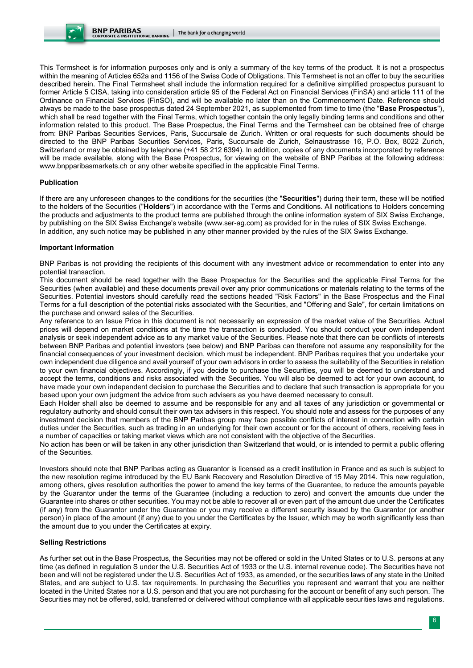This Termsheet is for information purposes only and is only a summary of the key terms of the product. It is not a prospectus within the meaning of Articles 652a and 1156 of the Swiss Code of Obligations. This Termsheet is not an offer to buy the securities described herein. The Final Termsheet shall include the information required for a definitive simplified prospectus pursuant to former Article 5 CISA, taking into consideration article 95 of the Federal Act on Financial Services (FinSA) and article 111 of the Ordinance on Financial Services (FinSO), and will be available no later than on the Commencement Date. Reference should always be made to the base prospectus dated 24 September 2021, as supplemented from time to time (the "**Base Prospectus**"), which shall be read together with the Final Terms, which together contain the only legally binding terms and conditions and other information related to this product. The Base Prospectus, the Final Terms and the Termsheet can be obtained free of charge from: BNP Paribas Securities Services, Paris, Succursale de Zurich. Written or oral requests for such documents should be directed to the BNP Paribas Securities Services, Paris, Succursale de Zurich, Selnaustrasse 16, P.O. Box, 8022 Zurich, Switzerland or may be obtained by telephone (+41 58 212 6394). In addition, copies of any documents incorporated by reference will be made available, along with the Base Prospectus, for viewing on the website of BNP Paribas at the following address: www.bnpparibasmarkets.ch or any other website specified in the applicable Final Terms.

# **Publication**

If there are any unforeseen changes to the conditions for the securities (the "**Securities**") during their term, these will be notified to the holders of the Securities ("**Holders**") in accordance with the Terms and Conditions. All notifications to Holders concerning the products and adjustments to the product terms are published through the online information system of SIX Swiss Exchange, by publishing on the SIX Swiss Exchange's website (www.ser-ag.com) as provided for in the rules of SIX Swiss Exchange. In addition, any such notice may be published in any other manner provided by the rules of the SIX Swiss Exchange.

#### **Important Information**

BNP Paribas is not providing the recipients of this document with any investment advice or recommendation to enter into any potential transaction.

This document should be read together with the Base Prospectus for the Securities and the applicable Final Terms for the Securities (when available) and these documents prevail over any prior communications or materials relating to the terms of the Securities. Potential investors should carefully read the sections headed "Risk Factors" in the Base Prospectus and the Final Terms for a full description of the potential risks associated with the Securities, and "Offering and Sale", for certain limitations on the purchase and onward sales of the Securities.

Any reference to an Issue Price in this document is not necessarily an expression of the market value of the Securities. Actual prices will depend on market conditions at the time the transaction is concluded. You should conduct your own independent analysis or seek independent advice as to any market value of the Securities. Please note that there can be conflicts of interests between BNP Paribas and potential investors (see below) and BNP Paribas can therefore not assume any responsibility for the financial consequences of your investment decision, which must be independent. BNP Paribas requires that you undertake your own independent due diligence and avail yourself of your own advisors in order to assess the suitability of the Securities in relation to your own financial objectives. Accordingly, if you decide to purchase the Securities, you will be deemed to understand and accept the terms, conditions and risks associated with the Securities. You will also be deemed to act for your own account, to have made your own independent decision to purchase the Securities and to declare that such transaction is appropriate for you based upon your own judgment the advice from such advisers as you have deemed necessary to consult.

Each Holder shall also be deemed to assume and be responsible for any and all taxes of any jurisdiction or governmental or regulatory authority and should consult their own tax advisers in this respect. You should note and assess for the purposes of any investment decision that members of the BNP Paribas group may face possible conflicts of interest in connection with certain duties under the Securities, such as trading in an underlying for their own account or for the account of others, receiving fees in a number of capacities or taking market views which are not consistent with the objective of the Securities.

No action has been or will be taken in any other jurisdiction than Switzerland that would, or is intended to permit a public offering of the Securities.

Investors should note that BNP Paribas acting as Guarantor is licensed as a credit institution in France and as such is subject to the new resolution regime introduced by the EU Bank Recovery and Resolution Directive of 15 May 2014. This new regulation, among others, gives resolution authorities the power to amend the key terms of the Guarantee, to reduce the amounts payable by the Guarantor under the terms of the Guarantee (including a reduction to zero) and convert the amounts due under the Guarantee into shares or other securities. You may not be able to recover all or even part of the amount due under the Certificates (if any) from the Guarantor under the Guarantee or you may receive a different security issued by the Guarantor (or another person) in place of the amount (if any) due to you under the Certificates by the Issuer, which may be worth significantly less than the amount due to you under the Certificates at expiry.

#### **Selling Restrictions**

As further set out in the Base Prospectus, the Securities may not be offered or sold in the United States or to U.S. persons at any time (as defined in regulation S under the U.S. Securities Act of 1933 or the U.S. internal revenue code). The Securities have not been and will not be registered under the U.S. Securities Act of 1933, as amended, or the securities laws of any state in the United States, and are subject to U.S. tax requirements. In purchasing the Securities you represent and warrant that you are neither located in the United States nor a U.S. person and that you are not purchasing for the account or benefit of any such person. The Securities may not be offered, sold, transferred or delivered without compliance with all applicable securities laws and regulations.